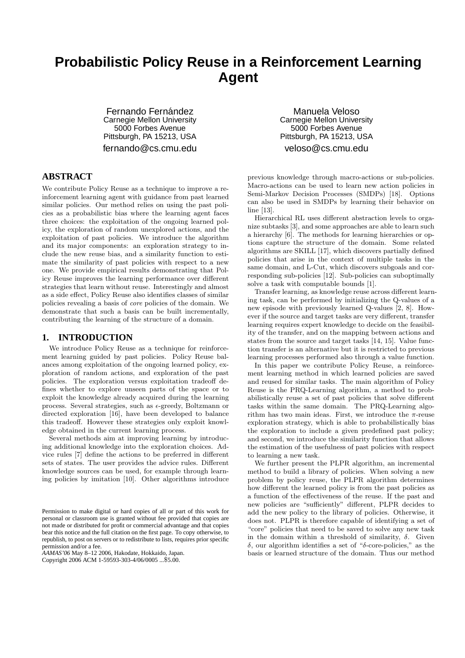# **Probabilistic Policy Reuse in a Reinforcement Learning Agent**

Fernando Fernández Carnegie Mellon University 5000 Forbes Avenue Pittsburgh, PA 15213, USA fernando@cs.cmu.edu

**ABSTRACT**

We contribute Policy Reuse as a technique to improve a reinforcement learning agent with guidance from past learned similar policies. Our method relies on using the past policies as a probabilistic bias where the learning agent faces three choices: the exploitation of the ongoing learned policy, the exploration of random unexplored actions, and the exploitation of past policies. We introduce the algorithm and its major components: an exploration strategy to include the new reuse bias, and a similarity function to estimate the similarity of past policies with respect to a new one. We provide empirical results demonstrating that Policy Reuse improves the learning performance over different strategies that learn without reuse. Interestingly and almost as a side effect, Policy Reuse also identifies classes of similar policies revealing a basis of core policies of the domain. We demonstrate that such a basis can be built incrementally, contributing the learning of the structure of a domain.

# **1. INTRODUCTION**

We introduce Policy Reuse as a technique for reinforcement learning guided by past policies. Policy Reuse balances among exploitation of the ongoing learned policy, exploration of random actions, and exploration of the past policies. The exploration versus exploitation tradeoff defines whether to explore unseen parts of the space or to exploit the knowledge already acquired during the learning process. Several strategies, such as  $\epsilon$ -greedy, Boltzmann or directed exploration [16], have been developed to balance this tradeoff. However these strategies only exploit knowledge obtained in the current learning process.

Several methods aim at improving learning by introducing additional knowledge into the exploration choices. Advice rules [7] define the actions to be preferred in different sets of states. The user provides the advice rules. Different knowledge sources can be used, for example through learning policies by imitation [10]. Other algorithms introduce

*AAMAS'06* May 8–12 2006, Hakodate, Hokkaido, Japan.

Copyright 2006 ACM 1-59593-303-4/06/0005 ...\$5.00.

Manuela Veloso Carnegie Mellon University 5000 Forbes Avenue Pittsburgh, PA 15213, USA veloso@cs.cmu.edu

previous knowledge through macro-actions or sub-policies. Macro-actions can be used to learn new action policies in Semi-Markov Decision Processes (SMDPs) [18]. Options can also be used in SMDPs by learning their behavior on line [13].

Hierarchical RL uses different abstraction levels to organize subtasks [3], and some approaches are able to learn such a hierarchy [6]. The methods for learning hierarchies or options capture the structure of the domain. Some related algorithms are SKILL [17], which discovers partially defined policies that arise in the context of multiple tasks in the same domain, and L-Cut, which discovers subgoals and corresponding sub-policies [12]. Sub-policies can suboptimally solve a task with computable bounds [1].

Transfer learning, as knowledge reuse across different learning task, can be performed by initializing the Q-values of a new episode with previously learned Q-values [2, 8]. However if the source and target tasks are very different, transfer learning requires expert knowledge to decide on the feasibility of the transfer, and on the mapping between actions and states from the source and target tasks [14, 15]. Value function transfer is an alternative but it is restricted to previous learning processes performed also through a value function.

In this paper we contribute Policy Reuse, a reinforcement learning method in which learned policies are saved and reused for similar tasks. The main algorithm of Policy Reuse is the PRQ-Learning algorithm, a method to probabilistically reuse a set of past policies that solve different tasks within the same domain. The PRQ-Learning algorithm has two main ideas. First, we introduce the  $\pi$ -reuse exploration strategy, which is able to probabilistically bias the exploration to include a given predefined past policy; and second, we introduce the similarity function that allows the estimation of the usefulness of past policies with respect to learning a new task.

We further present the PLPR algorithm, an incremental method to build a library of policies. When solving a new problem by policy reuse, the PLPR algorithm determines how different the learned policy is from the past policies as a function of the effectiveness of the reuse. If the past and new policies are "sufficiently" different, PLPR decides to add the new policy to the library of policies. Otherwise, it does not. PLPR is therefore capable of identifying a set of "core" policies that need to be saved to solve any new task in the domain within a threshold of similarity,  $\delta$ . Given δ, our algorithm identifies a set of "δ-core-policies," as the basis or learned structure of the domain. Thus our method

Permission to make digital or hard copies of all or part of this work for personal or classroom use is granted without fee provided that copies are not made or distributed for profit or commercial advantage and that copies bear this notice and the full citation on the first page. To copy otherwise, to republish, to post on servers or to redistribute to lists, requires prior specific permission and/or a fee.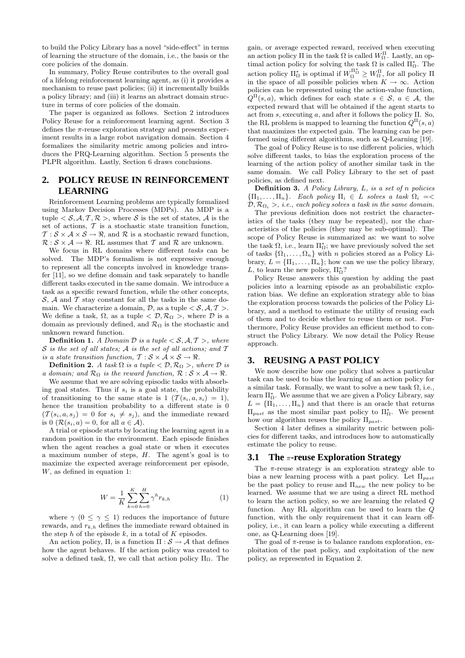to build the Policy Library has a novel "side-effect" in terms of learning the structure of the domain, i.e., the basis or the core policies of the domain.

In summary, Policy Reuse contributes to the overall goal of a lifelong reinforcement learning agent, as (i) it provides a mechanism to reuse past policies; (ii) it incrementally builds a policy library; and (iii) it learns an abstract domain structure in terms of core policies of the domain.

The paper is organized as follows. Section 2 introduces Policy Reuse for a reinforcement learning agent. Section 3 defines the  $\pi$ -reuse exploration strategy and presents experiment results in a large robot navigation domain. Section 4 formalizes the similarity metric among policies and introduces the PRQ-Learning algorithm. Section 5 presents the PLPR algorithm. Lastly, Section 6 draws conclusions.

# **2. POLICY REUSE IN REINFORCEMENT LEARNING**

Reinforcement Learning problems are typically formalized using Markov Decision Processes (MDPs). An MDP is a tuple  $\langle \mathcal{S}, \mathcal{A}, \mathcal{T}, \mathcal{R} \rangle$ , where  $\mathcal S$  is the set of states,  $\mathcal A$  is the set of actions,  $T$  is a stochastic state transition function,  $\mathcal{T}: \mathcal{S} \times \mathcal{A} \times \mathcal{S} \rightarrow \Re$ , and  $\mathcal{R}$  is a stochastic reward function,  $\mathcal{R}: \mathcal{S} \times \mathcal{A} \rightarrow \mathbb{R}$ . RL assumes that T and R are unknown.

We focus in RL domains where different tasks can be solved. The MDP's formalism is not expressive enough to represent all the concepts involved in knowledge transfer [11], so we define domain and task separately to handle different tasks executed in the same domain. We introduce a task as a specific reward function, while the other concepts,  $S, A$  and  $T$  stay constant for all the tasks in the same domain. We characterize a domain,  $D$ , as a tuple  $\langle S, A, T \rangle$ . We define a task,  $\Omega$ , as a tuple  $\langle \mathcal{D}, \mathcal{R}_{\Omega} \rangle$ , where  $\mathcal D$  is a domain as previously defined, and  $\mathcal{R}_{\Omega}$  is the stochastic and unknown reward function.

**Definition 1.** A Domain D is a tuple  $\langle S, A, T \rangle$ , where  $S$  is the set of all states; A is the set of all actions; and  $T$ is a state transition function,  $T : \mathcal{S} \times \mathcal{A} \times \mathcal{S} \rightarrow \mathbb{R}$ .

**Definition 2.** A task  $\Omega$  is a tuple  $\langle \mathcal{D}, \mathcal{R}_{\Omega} \rangle$ , where  $\mathcal{D}$  is a domain; and  $\mathcal{R}_{\Omega}$  is the reward function,  $\mathcal{R}: \mathcal{S} \times \mathcal{A} \rightarrow \mathcal{R}$ .

We assume that we are solving episodic tasks with absorbing goal states. Thus if  $s_i$  is a goal state, the probability of transitioning to the same state is  $1 \left( \mathcal{T}(s_i, a, s_i) = 1 \right)$ , hence the transition probability to a different state is 0  $(\mathcal{T}(s_i, a, s_j) = 0 \text{ for } s_i \neq s_j),$  and the immediate reward is 0  $(\mathcal{R}(s_i, a) = 0$ , for all  $a \in \mathcal{A})$ .

A trial or episode starts by locating the learning agent in a random position in the environment. Each episode finishes when the agent reaches a goal state or when it executes a maximum number of steps,  $H$ . The agent's goal is to maximize the expected average reinforcement per episode, W, as defined in equation 1:

$$
W = \frac{1}{K} \sum_{k=0}^{K} \sum_{h=0}^{H} \gamma^h r_{k,h}
$$
 (1)

where  $\gamma$  (0  $\leq \gamma \leq 1$ ) reduces the importance of future rewards, and  $r_{k,h}$  defines the immediate reward obtained in the step  $h$  of the episode  $k$ , in a total of  $K$  episodes.

An action policy,  $\Pi$ , is a function  $\Pi : \mathcal{S} \to \mathcal{A}$  that defines how the agent behaves. If the action policy was created to solve a defined task,  $\Omega$ , we call that action policy  $\Pi_{\Omega}$ . The

gain, or average expected reward, received when executing an action policy  $\Pi$  in the task  $\Omega$  is called  $W_{\Omega}^{\Pi}$ . Lastly, an optimal action policy for solving the task  $\Omega$  is called  $\Pi_{\Omega}^*$ . The action policy  $\Pi_{\Omega}^*$  is optimal if  $W_{\Omega}^{\Pi_{\Omega}^*} \geq W_{\Omega}^{\Pi}$ , for all policy  $\Pi$ in the space of all possible policies when  $K \to \infty$ . Action policies can be represented using the action-value function,  $Q^{\Pi}(s, a)$ , which defines for each state  $s \in \mathcal{S}$ ,  $a \in \mathcal{A}$ , the expected reward that will be obtained if the agent starts to act from s, executing a, and after it follows the policy  $\Pi$ . So, the RL problem is mapped to learning the function  $Q^{\Pi}(s, a)$ that maximizes the expected gain. The learning can be performed using different algorithms, such as Q-Learning [19].

The goal of Policy Reuse is to use different policies, which solve different tasks, to bias the exploration process of the learning of the action policy of another similar task in the same domain. We call Policy Library to the set of past policies, as defined next.

**Definition 3.** A Policy Library,  $L$ , is a set of n policies  ${\{\Pi_1,\ldots,\Pi_n\}}$ . Each policy  ${\Pi_i \in L}$  solves a task  $\Omega_i = \leq$  $\mathcal{D}, \mathcal{R}_{\Omega_i} >$ , i.e., each policy solves a task in the same domain.

The previous definition does not restrict the characteristics of the tasks (they may be repeated), nor the characteristics of the policies (they may be sub-optimal). The scope of Policy Reuse is summarized as: we want to solve the task  $\Omega$ , i.e., learn  $\Pi_{\Omega}^*$ ; we have previously solved the set of tasks  $\{\Omega_1, \ldots, \Omega_n\}$  with n policies stored as a Policy Library,  $L = {\Pi_1, \ldots, \Pi_n}$ ; how can we use the policy library, L, to learn the new policy,  $\Pi_{\Omega}^*$ ?

Policy Reuse answers this question by adding the past policies into a learning episode as an probabilistic exploration bias. We define an exploration strategy able to bias the exploration process towards the policies of the Policy Library, and a method to estimate the utility of reusing each of them and to decide whether to reuse them or not. Furthermore, Policy Reuse provides an efficient method to construct the Policy Library. We now detail the Policy Reuse approach.

## **3. REUSING A PAST POLICY**

We now describe how one policy that solves a particular task can be used to bias the learning of an action policy for a similar task. Formally, we want to solve a new task  $\Omega$ , i.e., learn  $\Pi_{\Omega}^*$ . We assume that we are given a Policy Library, say  $L = {\{\Pi_1, \ldots, \Pi_n\}}$  and that there is an oracle that returns  $\Pi_{past}$  as the most similar past policy to  $\Pi_{\Omega}^*$ . We present how our algorithm reuses the policy  $\Pi_{past}$ .

Section 4 later defines a similarity metric between policies for different tasks, and introduces how to automatically estimate the policy to reuse.

## **3.1 The** π**-reuse Exploration Strategy**

The  $\pi$ -reuse strategy is an exploration strategy able to bias a new learning process with a past policy. Let  $\Pi_{past}$ be the past policy to reuse and  $\Pi_{new}$  the new policy to be learned. We assume that we are using a direct RL method to learn the action policy, so we are learning the related Q function. Any RL algorithm can be used to learn the Q function, with the only requirement that it can learn offpolicy, i.e., it can learn a policy while executing a different one, as Q-Learning does [19].

The goal of  $\pi$ -reuse is to balance random exploration, exploitation of the past policy, and exploitation of the new policy, as represented in Equation 2.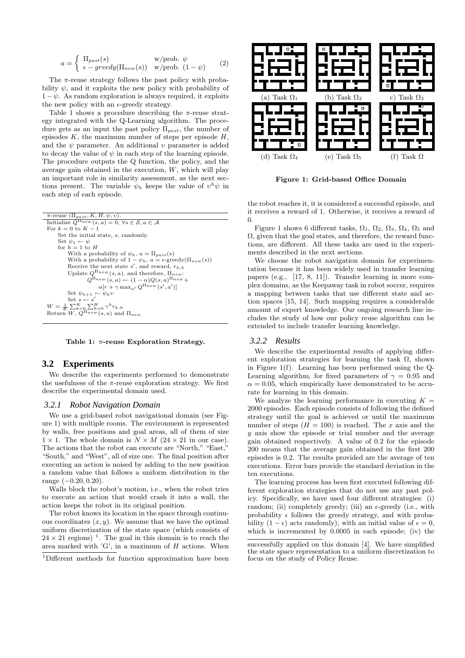$$
a = \begin{cases} \Pi_{past}(s) & \text{w/prob. } \psi \\ \epsilon - greedy(\Pi_{new}(s)) & \text{w/prob. } (1 - \psi) \end{cases}
$$
 (2)

The  $\pi$ -reuse strategy follows the past policy with probability  $\psi$ , and it exploits the new policy with probability of  $1 - \psi$ . As random exploration is always required, it exploits the new policy with an  $\epsilon$ -greedy strategy.

Table 1 shows a procedure describing the  $\pi$ -reuse strategy integrated with the Q-Learning algorithm. The procedure gets as an input the past policy  $\Pi_{past}$ , the number of episodes  $K$ , the maximum number of steps per episode  $H$ , and the  $\psi$  parameter. An additional  $\upsilon$  parameter is added to decay the value of  $\psi$  in each step of the learning episode. The procedure outputs the Q function, the policy, and the average gain obtained in the execution,  $W$ , which will play an important role in similarity assessment, as the next sections present. The variable  $\psi_h$  keeps the value of  $v^h \psi$  in each step of each episode.



Table 1:  $\pi$ -reuse Exploration Strategy.

# **3.2 Experiments**

We describe the experiments performed to demonstrate the usefulness of the  $\pi$ -reuse exploration strategy. We first describe the experimental domain used.

#### *3.2.1 Robot Navigation Domain*

We use a grid-based robot navigational domain (see Figure 1) with multiple rooms. The environment is represented by walls, free positions and goal areas, all of them of size  $1 \times 1$ . The whole domain is  $N \times M$  (24  $\times$  21 in our case). The actions that the robot can execute are "North," "East," "South," and "West", all of size one. The final position after executing an action is noised by adding to the new position a random value that follows a uniform distribution in the range (−0.20, 0.20).

Walls block the robot's motion, i.e., when the robot tries to execute an action that would crash it into a wall, the action keeps the robot in its original position.

The robot knows its location in the space through continuous coordinates  $(x, y)$ . We assume that we have the optimal uniform discretization of the state space (which consists of  $24 \times 21$  regions)<sup>1</sup>. The goal in this domain is to reach the area marked with 'G', in a maximum of H actions. When



Figure 1: Grid-based Office Domain

the robot reaches it, it is considered a successful episode, and it receives a reward of 1. Otherwise, it receives a reward of  $\overline{0}$ .

Figure 1 shows 6 different tasks,  $\Omega_1$ ,  $\Omega_2$ ,  $\Omega_3$ ,  $\Omega_4$ ,  $\Omega_5$  and  $\Omega$ , given that the goal states, and therefore, the reward functions, are different. All these tasks are used in the experiments described in the next sections.

We choose the robot navigation domain for experimentation because it has been widely used in transfer learning papers (e.g., [17, 8, 11]). Transfer learning in more complex domains, as the Keepaway task in robot soccer, requires a mapping between tasks that use different state and action spaces [15, 14]. Such mapping requires a considerable amount of expert knowledge. Our ongoing research line includes the study of how our policy reuse algorithm can be extended to include transfer learning knowledge.

# *3.2.2 Results*

We describe the experimental results of applying different exploration strategies for learning the task  $\Omega$ , shown in Figure 1(f). Learning has been performed using the Q-Learning algorithm, for fixed parameters of  $\gamma = 0.95$  and  $\alpha = 0.05$ , which empirically have demonstrated to be accurate for learning in this domain.

We analyze the learning performance in executing  $K =$ 2000 episodes. Each episode consists of following the defined strategy until the goal is achieved or until the maximum number of steps  $(H = 100)$  is reached. The x axis and the y axis show the episode or trial number and the average gain obtained respectively. A value of 0.2 for the episode 200 means that the average gain obtained in the first 200 episodes is 0.2. The results provided are the average of ten executions. Error bars provide the standard deviation in the ten executions.

The learning process has been first executed following different exploration strategies that do not use any past policy. Specifically, we have used four different strategies: (i) random; (ii) completely greedy; (iii) an  $\epsilon$ -greedy (i.e., with probability  $\epsilon$  follows the greedy strategy, and with probability  $(1 - \epsilon)$  acts randomly), with an initial value of  $\epsilon = 0$ , which is incremented by 0.0005 in each episode; (iv) the

<sup>1</sup>Different methods for function approximation have been

successfully applied on this domain [4]. We have simplified the state space representation to a uniform discretization to focus on the study of Policy Reuse.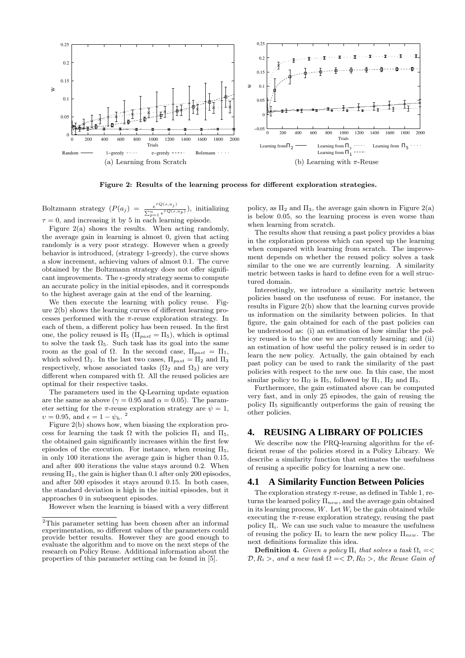

Figure 2: Results of the learning process for different exploration strategies.

Boltzmann strategy  $(P(a_j) = \frac{e^{\tau Q(s,a_j)}}{\sum_{i=1}^n P(Q(s,a_i))}$  $\frac{e^{-\sqrt{(s-a_y)}}}{\sum_{p=1}^n e^{\tau Q(s,a_p)}}$ , initializing  $\tau = 0$ , and increasing it by 5 in each learning episode.

Figure  $2(a)$  shows the results. When acting randomly, the average gain in learning is almost 0, given that acting randomly is a very poor strategy. However when a greedy behavior is introduced, (strategy 1-greedy), the curve shows a slow increment, achieving values of almost 0.1. The curve obtained by the Boltzmann strategy does not offer significant improvements. The  $\epsilon$ -greedy strategy seems to compute an accurate policy in the initial episodes, and it corresponds to the highest average gain at the end of the learning.

We then execute the learning with policy reuse. Figure 2(b) shows the learning curves of different learning processes performed with the  $\pi$ -reuse exploration strategy. In each of them, a different policy has been reused. In the first one, the policy reused is  $\Pi_5$  ( $\Pi_{past} = \Pi_5$ ), which is optimal to solve the task  $\Omega_5$ . Such task has its goal into the same room as the goal of  $\Omega$ . In the second case,  $\Pi_{past} = \Pi_1$ , which solved  $\Omega_1$ . In the last two cases,  $\Pi_{past} = \Pi_2$  and  $\Pi_3$ respectively, whose associated tasks  $(\Omega_2 \text{ and } \Omega_3)$  are very different when compared with  $\Omega$ . All the reused policies are optimal for their respective tasks.

The parameters used in the Q-Learning update equation are the same as above ( $\gamma = 0.95$  and  $\alpha = 0.05$ ). The parameter setting for the  $\pi$ -reuse exploration strategy are  $\psi = 1$ ,  $v = 0.95$ , and  $\epsilon = 1 - \psi_h$ .<sup>2</sup>

Figure 2(b) shows how, when biasing the exploration process for learning the task  $\Omega$  with the policies  $\Pi_1$  and  $\Pi_5$ , the obtained gain significantly increases within the first few episodes of the execution. For instance, when reusing  $\Pi_5$ , in only 100 iterations the average gain is higher than 0.15, and after 400 iterations the value stays around 0.2. When reusing  $\Pi_1$ , the gain is higher than 0.1 after only 200 episodes, and after 500 episodes it stays around 0.15. In both cases, the standard deviation is high in the initial episodes, but it approaches 0 in subsequent episodes.

However when the learning is biased with a very different

policy, as  $\Pi_2$  and  $\Pi_3$ , the average gain shown in Figure 2(a) is below 0.05, so the learning process is even worse than when learning from scratch.

The results show that reusing a past policy provides a bias in the exploration process which can speed up the learning when compared with learning from scratch. The improvement depends on whether the reused policy solves a task similar to the one we are currently learning. A similarity metric between tasks is hard to define even for a well structured domain.

Interestingly, we introduce a similarity metric between policies based on the usefuness of reuse. For instance, the results in Figure 2(b) show that the learning curves provide us information on the similarity between policies. In that figure, the gain obtained for each of the past policies can be understood as: (i) an estimation of how similar the policy reused is to the one we are currently learning; and (ii) an estimation of how useful the policy reused is in order to learn the new policy. Actually, the gain obtained by each past policy can be used to rank the similarity of the past policies with respect to the new one. In this case, the most similar policy to  $\Pi_{\Omega}$  is  $\Pi_{5}$ , followed by  $\Pi_{1}$ ,  $\Pi_{2}$  and  $\Pi_{3}$ .

Furthermore, the gain estimated above can be computed very fast, and in only 25 episodes, the gain of reusing the policy  $\Pi_5$  significantly outperforms the gain of reusing the other policies.

## **4. REUSING A LIBRARY OF POLICIES**

We describe now the PRQ-learning algorithm for the efficient reuse of the policies stored in a Policy Library. We describe a similarity function that estimates the usefulness of reusing a specific policy for learning a new one.

## **4.1 A Similarity Function Between Policies**

The exploration strategy  $\pi$ -reuse, as defined in Table 1, returns the learned policy  $\Pi_{new}$ , and the average gain obtained in its learning process,  $W$ . Let  $W_i$  be the gain obtained while executing the  $\pi$ -reuse exploration strategy, reusing the past policy  $\Pi_i$ . We can use such value to measure the usefulness of reusing the policy  $\Pi_i$  to learn the new policy  $\Pi_{new}$ . The next definitions formalize this idea.

Definition 4. Given a policy  $\Pi_i$  that solves a task  $\Omega_i = \langle \cdot \rangle$  $\mathcal{D}, R_i >$ , and a new task  $\Omega = \langle \mathcal{D}, R_{\Omega} \rangle$ , the Reuse Gain of

<sup>2</sup>This parameter setting has been chosen after an informal experimentation, so different values of the parameters could provide better results. However they are good enough to evaluate the algorithm and to move on the next steps of the research on Policy Reuse. Additional information about the properties of this parameter setting can be found in [5].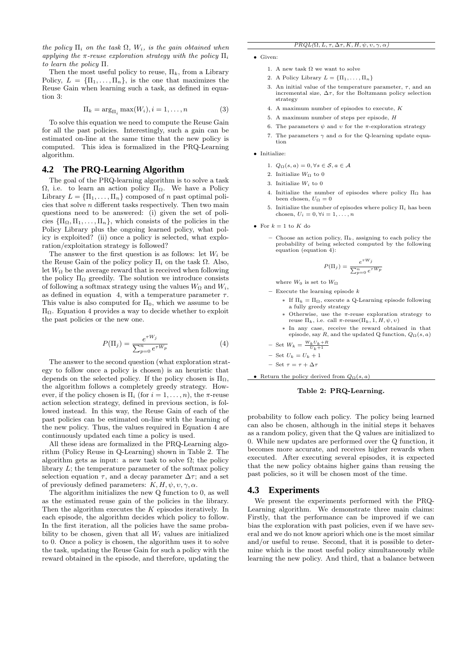the policy  $\Pi_i$  on the task  $\Omega$ ,  $W_i$ , is the gain obtained when applying the  $\pi$ -reuse exploration strategy with the policy  $\Pi_i$ to learn the policy Π.

Then the most useful policy to reuse,  $\Pi_k$ , from a Library Policy,  $L = {\Pi_1, ..., \Pi_n}$ , is the one that maximizes the Reuse Gain when learning such a task, as defined in equation 3:

$$
\Pi_k = \arg_{\Pi_i} \max(W_i), i = 1, \dots, n \tag{3}
$$

To solve this equation we need to compute the Reuse Gain for all the past policies. Interestingly, such a gain can be estimated on-line at the same time that the new policy is computed. This idea is formalized in the PRQ-Learning algorithm.

## **4.2 The PRQ-Learning Algorithm**

The goal of the PRQ-learning algorithm is to solve a task Ω, i.e. to learn an action policy  $\Pi_{\Omega}$ . We have a Policy Library  $L = {\{\Pi_1, \ldots, \Pi_n\}}$  composed of n past optimal policies that solve  $\boldsymbol{n}$  different tasks respectively. Then two main questions need to be answered: (i) given the set of policies  ${\{\Pi_{\Omega}, \Pi_1, \ldots, \Pi_n\}}$ , which consists of the policies in the Policy Library plus the ongoing learned policy, what policy is exploited? (ii) once a policy is selected, what exploration/exploitation strategy is followed?

The answer to the first question is as follows: let  $W_i$  be the Reuse Gain of the policy policy  $\Pi_i$  on the task  $\Omega$ . Also, let  $W_{\Omega}$  be the average reward that is received when following the policy  $\Pi_{\Omega}$  greedily. The solution we introduce consists of following a softmax strategy using the values  $W_{\Omega}$  and  $W_i$ , as defined in equation 4, with a temperature parameter  $\tau$ . This value is also computed for  $\Pi_0$ , which we assume to be ΠΩ. Equation 4 provides a way to decide whether to exploit the past policies or the new one.

$$
P(\Pi_j) = \frac{e^{\tau W_j}}{\sum_{p=0}^n e^{\tau W_p}} \tag{4}
$$

The answer to the second question (what exploration strategy to follow once a policy is chosen) is an heuristic that depends on the selected policy. If the policy chosen is  $\Pi_{\Omega}$ , the algorithm follows a completely greedy strategy. However, if the policy chosen is  $\Pi_i$  (for  $i = 1, \ldots, n$ ), the  $\pi$ -reuse action selection strategy, defined in previous section, is followed instead. In this way, the Reuse Gain of each of the past policies can be estimated on-line with the learning of the new policy. Thus, the values required in Equation 4 are continuously updated each time a policy is used.

All these ideas are formalized in the PRQ-Learning algorithm (Policy Reuse in Q-Learning) shown in Table 2. The algorithm gets as input: a new task to solve  $\Omega$ ; the policy library  $L$ ; the temperature parameter of the softmax policy selection equation  $\tau$ , and a decay parameter  $\Delta \tau$ ; and a set of previously defined parameters:  $K, H, \psi, \nu, \gamma, \alpha$ .

The algorithm initializes the new Q function to 0, as well as the estimated reuse gain of the policies in the library. Then the algorithm executes the  $K$  episodes iteratively. In each episode, the algorithm decides which policy to follow. In the first iteration, all the policies have the same probability to be chosen, given that all  $W_i$  values are initialized to 0. Once a policy is chosen, the algorithm uses it to solve the task, updating the Reuse Gain for such a policy with the reward obtained in the episode, and therefore, updating the

#### $PRQL(\Omega, L, \tau, \Delta \tau, K, H, \psi, v, \gamma, \alpha)$

- Given:
	- 1. A new task  $\Omega$  we want to solve
	- 2. A Policy Library  $L = {\Pi_1, \ldots, \Pi_n}$
	- 3. An initial value of the temperature parameter,  $\tau$ , and an incremental size,  $\Delta \tau$ , for the Boltzmann policy selection strategy
	- 4. A maximum number of episodes to execute, K
	- 5. A maximum number of steps per episode, H
	- 6. The parameters  $\psi$  and  $\upsilon$  for the  $\pi$ -exploration strategy
	- 7. The parameters  $\gamma$  and  $\alpha$  for the Q-learning update equation
- Initialize:
	- 1.  $Q_{\Omega}(s, a) = 0, \forall s \in \mathcal{S}, a \in \mathcal{A}$
	- 2. Initialize  $W_{\Omega}$  to  $0$
	- 3. Initialize  $W_i$  to 0
	- 4. Initialize the number of episodes where policy  $\Pi_{\Omega}$  has been chosen,  $U_{\Omega} = 0$
	- 5. Initialize the number of episodes where policy  $\Pi_i$  has been chosen,  $U_i = 0, \forall i = 1, \ldots, n$
- For  $k = 1$  to K do
	- Choose an action policy,  $\Pi_k$ , assigning to each policy the probability of being selected computed by the following equation (equation 4):

$$
P(\Pi_j) = \frac{e^{\tau W_j}}{\sum_{p=0}^n e^{\tau W_p}}
$$

where  $W_0$  is set to  $W_{\Omega}$ 

 $-$  Execute the learning episode  $k$ 

- ∗ If Π<sup>k</sup> = ΠΩ, execute a Q-Learning episode following a fully greedy strategy
- Otherwise, use the  $\pi$ -reuse exploration strategy to reuse  $\Pi_k$ , i.e. call  $\pi$ -reuse ( $\Pi_k$ , 1, H, ψ, v)
- ∗ In any case, receive the reward obtained in that episode, say R, and the updated Q function,  $Q_{\Omega}(s, a)$

$$
-
$$
 Set  $W_k=\frac{W_kU_k+R}{U_k+1}$ 

$$
- \ \operatorname{Set} \ U_k = U_k + 1
$$

$$
- \;\; {\rm Set} \;\, \tau = \tau + \Delta \tau
$$

• Return the policy derived from  $Q_{\Omega}(s, a)$ 

#### Table 2: PRQ-Learning.

probability to follow each policy. The policy being learned can also be chosen, although in the initial steps it behaves as a random policy, given that the Q values are initialized to 0. While new updates are performed over the Q function, it becomes more accurate, and receives higher rewards when executed. After executing several episodes, it is expected that the new policy obtains higher gains than reusing the past policies, so it will be chosen most of the time.

#### **4.3 Experiments**

We present the experiments performed with the PRQ-Learning algorithm. We demonstrate three main claims: Firstly, that the performance can be improved if we can bias the exploration with past policies, even if we have several and we do not know apriori which one is the most similar and/or useful to reuse. Second, that it is possible to determine which is the most useful policy simultaneously while learning the new policy. And third, that a balance between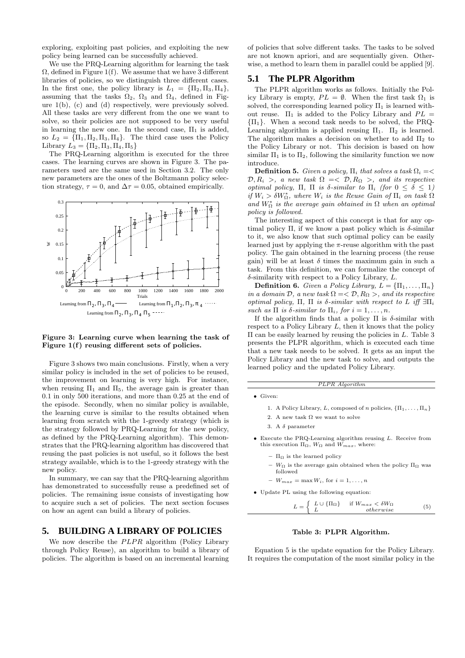exploring, exploiting past policies, and exploiting the new policy being learned can be successfully achieved.

We use the PRQ-Learning algorithm for learning the task  $\Omega$ , defined in Figure 1(f). We assume that we have 3 different libraries of policies, so we distinguish three different cases. In the first one, the policy library is  $L_1 = {\Pi_2, \Pi_3, \Pi_4},$ assuming that the tasks  $\Omega_2$ ,  $\Omega_3$  and  $\Omega_4$ , defined in Figure 1(b), (c) and (d) respectively, were previously solved. All these tasks are very different from the one we want to solve, so their policies are not supposed to be very useful in learning the new one. In the second case,  $\Pi_1$  is added, so  $L_2 = {\Pi_1, \Pi_2, \Pi_3, \Pi_4}$ . The third case uses the Policy Library  $L_3 = {\Pi_2, \Pi_3, \Pi_4, \Pi_5}$ 

The PRQ-Learning algorithm is executed for the three cases. The learning curves are shown in Figure 3. The parameters used are the same used in Section 3.2. The only new parameters are the ones of the Boltzmann policy selection strategy,  $\tau = 0$ , and  $\Delta \tau = 0.05$ , obtained empirically.



#### Figure 3: Learning curve when learning the task of Figure 1(f) reusing different sets of policies.

Figure 3 shows two main conclusions. Firstly, when a very similar policy is included in the set of policies to be reused, the improvement on learning is very high. For instance, when reusing  $\Pi_1$  and  $\Pi_5$ , the average gain is greater than 0.1 in only 500 iterations, and more than 0.25 at the end of the episode. Secondly, when no similar policy is available, the learning curve is similar to the results obtained when learning from scratch with the 1-greedy strategy (which is the strategy followed by PRQ-Learning for the new policy, as defined by the PRQ-Learning algorithm). This demonstrates that the PRQ-learning algorithm has discovered that reusing the past policies is not useful, so it follows the best strategy available, which is to the 1-greedy strategy with the new policy.

In summary, we can say that the PRQ-learning algorithm has demonstrated to successfully reuse a predefined set of policies. The remaining issue consists of investigating how to acquire such a set of policies. The next section focuses on how an agent can build a library of policies.

# **5. BUILDING A LIBRARY OF POLICIES**

We now describe the  $PLPR$  algorithm (Policy Library through Policy Reuse), an algorithm to build a library of policies. The algorithm is based on an incremental learning of policies that solve different tasks. The tasks to be solved are not known apriori, and are sequentially given. Otherwise, a method to learn them in parallel could be applied [9].

#### **5.1 The PLPR Algorithm**

The PLPR algorithm works as follows. Initially the Policy Library is empty,  $PL = \emptyset$ . When the first task  $\Omega_1$  is solved, the corresponding learned policy  $\Pi_1$  is learned without reuse.  $\Pi_1$  is added to the Policy Library and  $PL =$  $\{\Pi_1\}$ . When a second task needs to be solved, the PRQ-Learning algorithm is applied reusing  $\Pi_1$ .  $\Pi_2$  is learned. The algorithm makes a decision on whether to add  $\Pi_2$  to the Policy Library or not. This decision is based on how similar  $\Pi_1$  is to  $\Pi_2$ , following the similarity function we now introduce.

**Definition 5.** Given a policy,  $\Pi_i$  that solves a task  $\Omega_i = \langle$  $\mathcal{D}, R_i >$ , a new task  $\Omega = \langle \mathcal{D}, R_{\Omega} \rangle$ , and its respective optimal policy, Π, Π is  $\delta$ -similar to  $\Pi_i$  (for  $0 \leq \delta \leq 1$ ) if  $W_i > \delta W_{\Omega}^*$ , where  $W_i$  is the Reuse Gain of  $\Pi_i$  on task  $\Omega$ and  $W^*_{\Omega}$  is the average gain obtained in  $\Omega$  when an optimal policy is followed.

The interesting aspect of this concept is that for any optimal policy Π, if we know a past policy which is  $δ$ -similar to it, we also know that such optimal policy can be easily learned just by applying the  $\pi$ -reuse algorithm with the past policy. The gain obtained in the learning process (the reuse gain) will be at least  $\delta$  times the maximum gain in such a task. From this definition, we can formalize the concept of  $\delta$ -similarity with respect to a Policy Library,  $L$ .

**Definition 6.** Given a Policy Library,  $L = {\Pi_1, \dots, \Pi_n}$ in a domain  $\mathcal{D}$ , a new task  $\Omega = \langle \mathcal{D}, R_{\Omega} \rangle$ , and its respective optimal policy, Π, Π is δ-similar with respect to L iff  $\exists \Pi_i$ such as  $\Pi$  is  $\delta$ -similar to  $\Pi_i$ , for  $i = 1, \ldots, n$ .

If the algorithm finds that a policy  $\Pi$  is  $\delta$ -similar with respect to a Policy Library  $L$ , then it knows that the policy  $\Pi$  can be easily learned by reusing the policies in  $L$ . Table 3 presents the PLPR algorithm, which is executed each time that a new task needs to be solved. It gets as an input the Policy Library and the new task to solve, and outputs the learned policy and the updated Policy Library.

PLPR Algorithm

- 
- Given:
	- 1. A Policy Library, L, composed of n policies,  $\{\Pi_1, \ldots, \Pi_n\}$
	- 2. A new task  $\Omega$  we want to solve
	- 3. A  $\delta$  parameter
- Execute the PRQ-Learning algorithm reusing L. Receive from this execution  $\Pi_{\Omega}$ ,  $W_{\Omega}$  and  $W_{max}$ , where:
	- $-$  Π<sub>Ω</sub> is the learned policy
	- $W_{\Omega}$  is the average gain obtained when the policy  $\Pi_{\Omega}$  was followed
	- $-W_{max} = \max W_i$ , for  $i = 1, \ldots, n$

• Update PL using the following equation:

$$
L = \begin{cases} L \cup {\{\Pi_{\Omega}\}} & \text{if } W_{max} < \delta W_{\Omega} \\ L & \text{otherwise} \end{cases}
$$
 (5)

#### Table 3: PLPR Algorithm.

Equation 5 is the update equation for the Policy Library. It requires the computation of the most similar policy in the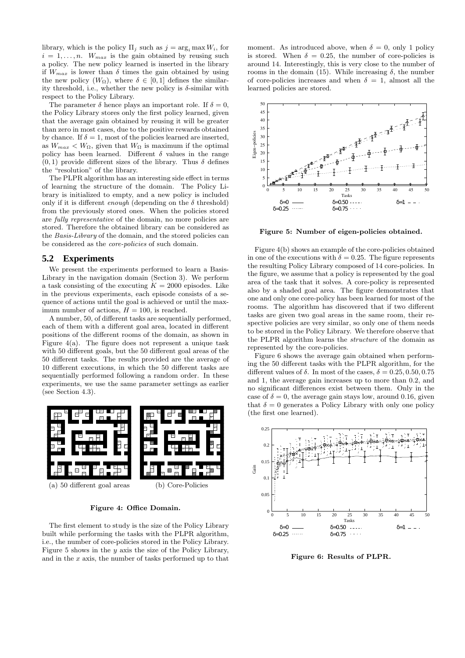library, which is the policy  $\Pi_i$  such as  $j = \arg_i \max W_i$ , for  $i = 1, \ldots, n$ .  $W_{max}$  is the gain obtained by reusing such a policy. The new policy learned is inserted in the library if  $W_{max}$  is lower than  $\delta$  times the gain obtained by using the new policy  $(W_{\Omega})$ , where  $\delta \in [0,1]$  defines the similarity threshold, i.e., whether the new policy is  $\delta$ -similar with respect to the Policy Library.

The parameter  $\delta$  hence plays an important role. If  $\delta = 0$ , the Policy Library stores only the first policy learned, given that the average gain obtained by reusing it will be greater than zero in most cases, due to the positive rewards obtained by chance. If  $\delta = 1$ , most of the policies learned are inserted, as  $W_{max} < W_{\Omega}$ , given that  $W_{\Omega}$  is maximum if the optimal policy has been learned. Different  $\delta$  values in the range  $(0, 1)$  provide different sizes of the library. Thus  $\delta$  defines the "resolution" of the library.

The PLPR algorithm has an interesting side effect in terms of learning the structure of the domain. The Policy Library is initialized to empty, and a new policy is included only if it is different *enough* (depending on the  $\delta$  threshold) from the previously stored ones. When the policies stored are fully representative of the domain, no more policies are stored. Therefore the obtained library can be considered as the Basis-Library of the domain, and the stored policies can be considered as the core-policies of such domain.

#### **5.2 Experiments**

We present the experiments performed to learn a Basis-Library in the navigation domain (Section 3). We perform a task consisting of the executing  $K = 2000$  episodes. Like in the previous experiments, each episode consists of a sequence of actions until the goal is achieved or until the maximum number of actions,  $H = 100$ , is reached.

A number, 50, of different tasks are sequentially performed, each of them with a different goal area, located in different positions of the different rooms of the domain, as shown in Figure  $4(a)$ . The figure does not represent a unique task with 50 different goals, but the 50 different goal areas of the 50 different tasks. The results provided are the average of 10 different executions, in which the 50 different tasks are sequentially performed following a random order. In these experiments, we use the same parameter settings as earlier (see Section 4.3).



Figure 4: Office Domain.

The first element to study is the size of the Policy Library built while performing the tasks with the PLPR algorithm, i.e., the number of core-policies stored in the Policy Library. Figure 5 shows in the  $y$  axis the size of the Policy Library, and in the x axis, the number of tasks performed up to that

moment. As introduced above, when  $\delta = 0$ , only 1 policy is stored. When  $\delta = 0.25$ , the number of core-policies is around 14. Interestingly, this is very close to the number of rooms in the domain (15). While increasing  $\delta$ , the number of core-policies increases and when  $\delta = 1$ , almost all the learned policies are stored.



Figure 5: Number of eigen-policies obtained.

Figure 4(b) shows an example of the core-policies obtained in one of the executions with  $\delta = 0.25$ . The figure represents the resulting Policy Library composed of 14 core-policies. In the figure, we assume that a policy is represented by the goal area of the task that it solves. A core-policy is represented also by a shaded goal area. The figure demonstrates that one and only one core-policy has been learned for most of the rooms. The algorithm has discovered that if two different tasks are given two goal areas in the same room, their respective policies are very similar, so only one of them needs to be stored in the Policy Library. We therefore observe that the PLPR algorithm learns the structure of the domain as represented by the core-policies.

Figure 6 shows the average gain obtained when performing the 50 different tasks with the PLPR algorithm, for the different values of  $\delta$ . In most of the cases,  $\delta = 0.25, 0.50, 0.75$ and 1, the average gain increases up to more than 0.2, and no significant differences exist between them. Only in the case of  $\delta = 0$ , the average gain stays low, around 0.16, given that  $\delta = 0$  generates a Policy Library with only one policy (the first one learned).



Figure 6: Results of PLPR.